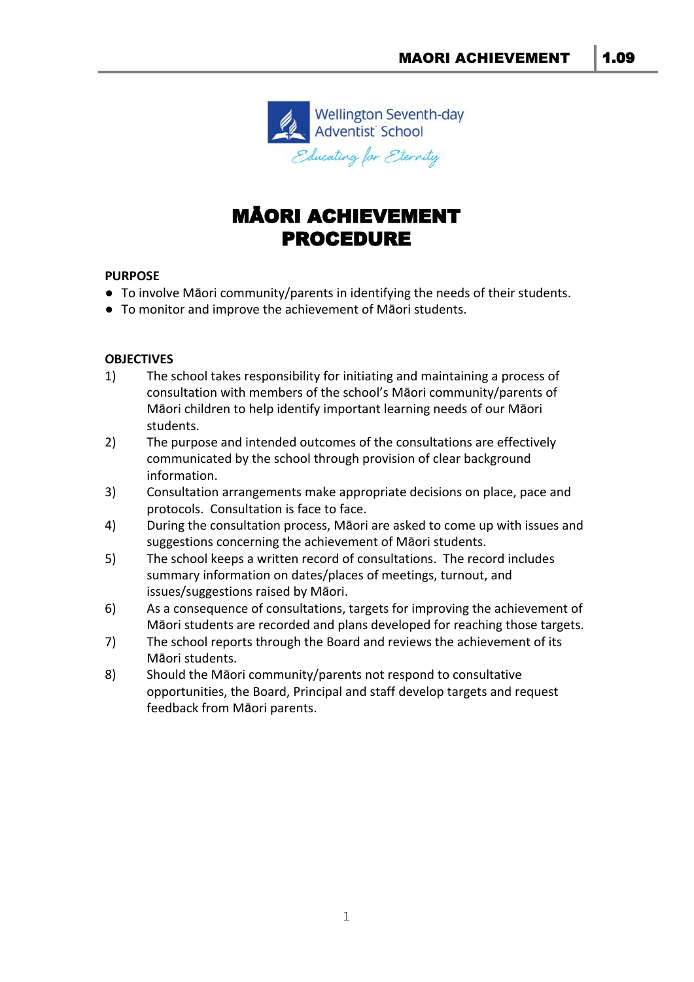

# MĀORI ACHIEVEMENT PROCEDURE

#### **PURPOSE**

- To involve Māori community/parents in identifying the needs of their students.
- To monitor and improve the achievement of Māori students.

## **OBJECTIVES**

- 1) The school takes responsibility for initiating and maintaining a process of consultation with members of the school's Māori community/parents of Māori children to help identify important learning needs of our Māori students.
- 2) The purpose and intended outcomes of the consultations are effectively communicated by the school through provision of clear background information.
- 3) Consultation arrangements make appropriate decisions on place, pace and protocols. Consultation is face to face.
- 4) During the consultation process, Māori are asked to come up with issues and suggestions concerning the achievement of Māori students.
- 5) The school keeps a written record of consultations. The record includes summary information on dates/places of meetings, turnout, and issues/suggestions raised by Māori.
- 6) As a consequence of consultations, targets for improving the achievement of Māori students are recorded and plans developed for reaching those targets.
- 7) The school reports through the Board and reviews the achievement of its Māori students.
- 8) Should the Māori community/parents not respond to consultative opportunities, the Board, Principal and staff develop targets and request feedback from Māori parents.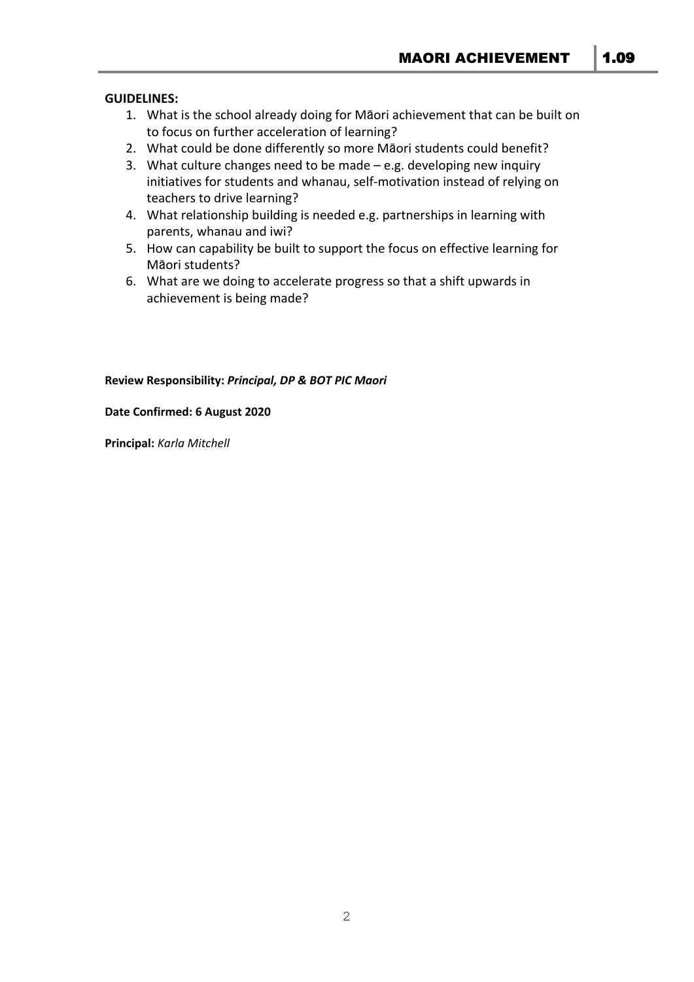#### **GUIDELINES:**

- 1. What is the school already doing for Māori achievement that can be built on to focus on further acceleration of learning?
- 2. What could be done differently so more Māori students could benefit?
- 3. What culture changes need to be made  $-e.g.$  developing new inquiry initiatives for students and whanau, self-motivation instead of relying on teachers to drive learning?
- 4. What relationship building is needed e.g. partnerships in learning with parents, whanau and iwi?
- 5. How can capability be built to support the focus on effective learning for Māori students?
- 6. What are we doing to accelerate progress so that a shift upwards in achievement is being made?

#### **Review Responsibility:** *Principal, DP & BOT PIC Maori*

#### **Date Confirmed: 6 August 2020**

**Principal:** *Karla Mitchell*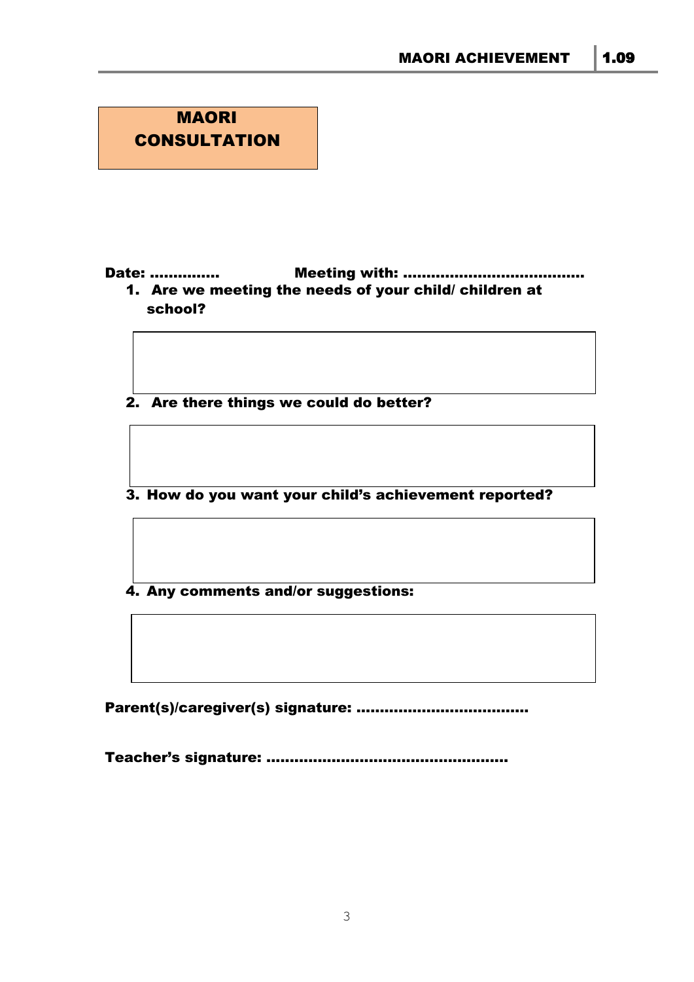

Date: …………………………… Meeting with: ………………………………………… 1. Are we meeting the needs of your child/ children at school?

2. Are there things we could do better?

3. How do you want your child's achievement reported?

4. Any comments and/or suggestions:

Parent(s)/caregiver(s) signature: ……………………………………

Teacher's signature: ....................................................